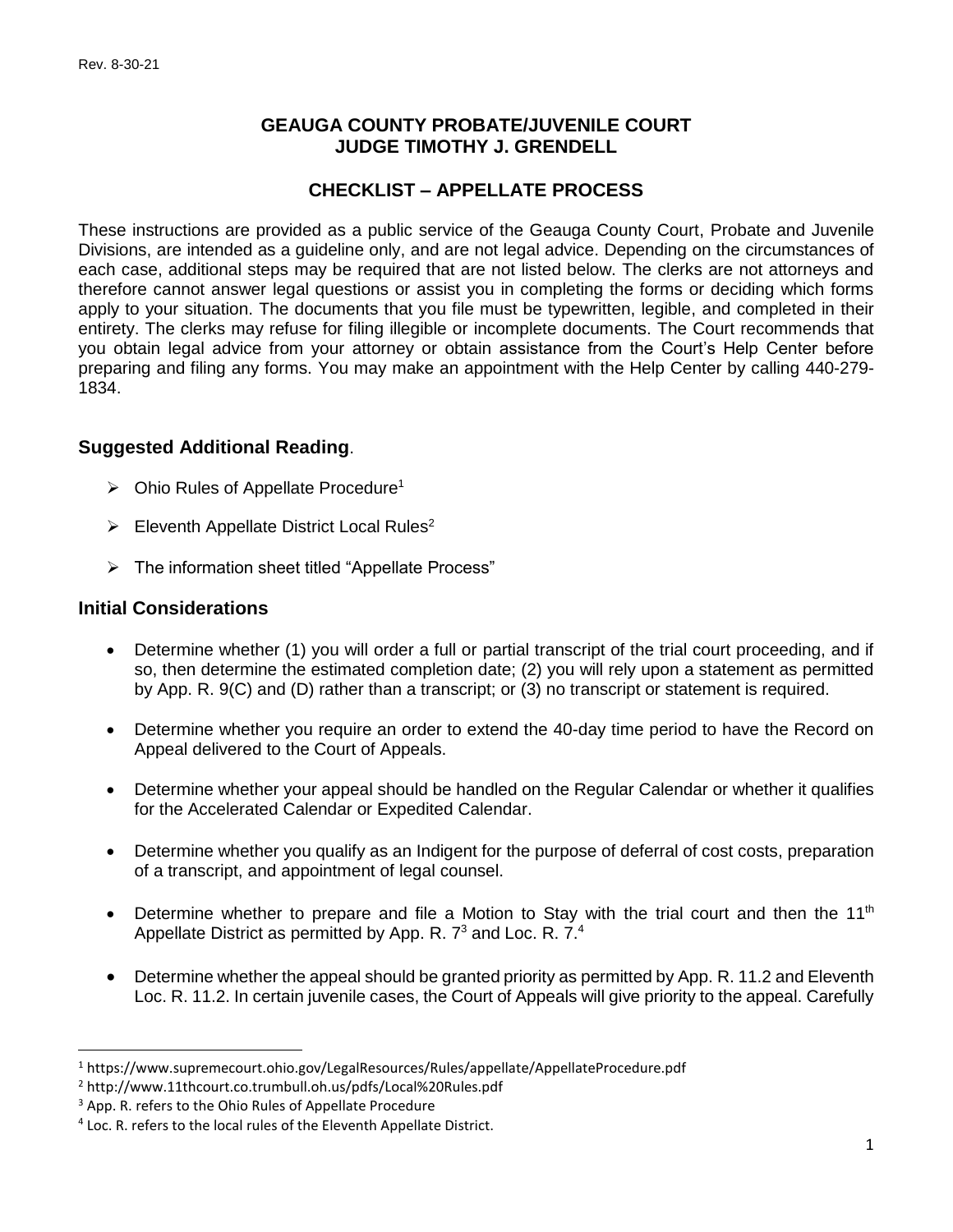### **GEAUGA COUNTY PROBATE/JUVENILE COURT JUDGE TIMOTHY J. GRENDELL**

# **CHECKLIST – APPELLATE PROCESS**

These instructions are provided as a public service of the Geauga County Court, Probate and Juvenile Divisions, are intended as a guideline only, and are not legal advice. Depending on the circumstances of each case, additional steps may be required that are not listed below. The clerks are not attorneys and therefore cannot answer legal questions or assist you in completing the forms or deciding which forms apply to your situation. The documents that you file must be typewritten, legible, and completed in their entirety. The clerks may refuse for filing illegible or incomplete documents. The Court recommends that you obtain legal advice from your attorney or obtain assistance from the Court's Help Center before preparing and filing any forms. You may make an appointment with the Help Center by calling 440-279- 1834.

## **Suggested Additional Reading**.

- $\triangleright$  Ohio Rules of Appellate Procedure<sup>1</sup>
- $\triangleright$  Eleventh Appellate District Local Rules<sup>2</sup>
- ➢ The information sheet titled "Appellate Process"

#### **Initial Considerations**

 $\overline{a}$ 

- Determine whether (1) you will order a full or partial transcript of the trial court proceeding, and if so, then determine the estimated completion date; (2) you will rely upon a statement as permitted by App. R. 9(C) and (D) rather than a transcript; or (3) no transcript or statement is required.
- Determine whether you require an order to extend the 40-day time period to have the Record on Appeal delivered to the Court of Appeals.
- Determine whether your appeal should be handled on the Regular Calendar or whether it qualifies for the Accelerated Calendar or Expedited Calendar.
- Determine whether you qualify as an Indigent for the purpose of deferral of cost costs, preparation of a transcript, and appointment of legal counsel.
- Determine whether to prepare and file a Motion to Stay with the trial court and then the 11<sup>th</sup> Appellate District as permitted by App. R.  $7<sup>3</sup>$  and Loc. R.  $7<sup>4</sup>$
- Determine whether the appeal should be granted priority as permitted by App. R. 11.2 and Eleventh Loc. R. 11.2. In certain juvenile cases, the Court of Appeals will give priority to the appeal. Carefully

<sup>1</sup> https://www.supremecourt.ohio.gov/LegalResources/Rules/appellate/AppellateProcedure.pdf

<sup>2</sup> http://www.11thcourt.co.trumbull.oh.us/pdfs/Local%20Rules.pdf

<sup>&</sup>lt;sup>3</sup> App. R. refers to the Ohio Rules of Appellate Procedure

<sup>&</sup>lt;sup>4</sup> Loc. R. refers to the local rules of the Eleventh Appellate District.